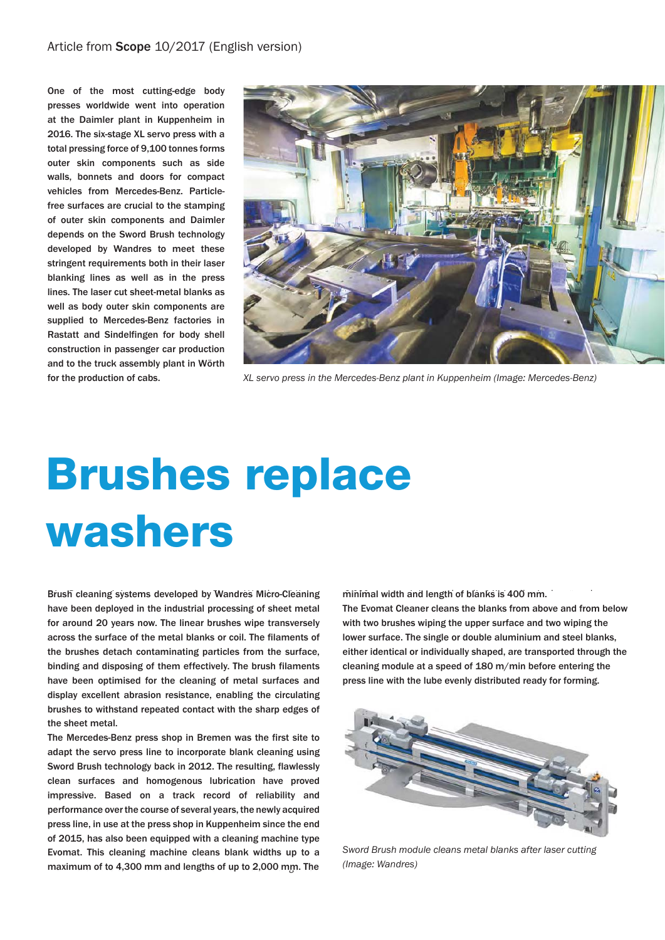#### Article from Scope 10/2017 (English version)

One of the most cutting-edge body presses worldwide went into operation at the Daimler plant in Kuppenheim in 2016. The six-stage XL servo press with a total pressing force of 9,100 tonnes forms outer skin components such as side walls, bonnets and doors for compact vehicles from Mercedes-Benz. Particlefree surfaces are crucial to the stamping of outer skin components and Daimler depends on the Sword Brush technology developed by Wandres to meet these stringent requirements both in their laser blanking lines as well as in the press lines. The laser cut sheet-metal blanks as well as body outer skin components are supplied to Mercedes-Benz factories in Rastatt and Sindelfingen for body shell construction in passenger car production and to the truck assembly plant in Wörth for the production of cabs.



*XL-Servopresse im Mercedes-Benz-Werk Kuppenheim (Bild: Mercedes-Benz). XL servo press in the Mercedes-Benz plant in Kuppenheim (Image: Mercedes-Benz)*

# **Brushes replace** washers

Brush cleaning systems developed by Wandres Micro-Cleaning have been deployed in the industrial processing of sheet metal for around 20 years now. The linear brushes wipe transversely across the surface of the metal blanks or coil. The filaments of the brushes detach contaminating particles from the surface, binding and disposing of them effectively. The brush filaments have been optimised for the cleaning of metal surfaces and display excellent abrasion resistance, enabling the circulating brushes to withstand repeated contact with the sharp edges of the sheet metal.

The Mercedes-Benz press shop in Bremen was the first site to adapt the servo press line to incorporate blank cleaning using Sword Brush technology back in 2012. The resulting, flawlessly clean surfaces and homogenous lubrication have proved impressive. Based on a track record of reliability and performance over the course of several years, the newly acquired press line, in use at the press shop in Kuppenheim since the end of 2015, has also been equipped with a cleaning machine type Evomat. This cleaning machine cleans blank widths up to a maximum of to 4,300 mm and lengths of up to 2,000 mm. The minimal width and length of blanks is 400 mm.

The Evomat Cleaner cleans the blanks from above and from below with two brushes wiping the upper surface and two wiping the lower surface. The single or double aluminium and steel blanks, either identical or individually shaped, are transported through the cleaning module at a speed of 180 m/min before entering the press line with the lube evenly distributed ready for forming.



*Gelaserte Blechplatine bei der Reinigung im Schwertbürsten-Sword Brush module cleans metal blanks after laser cutting modul. (Bild: Wandres) (Image: Wandres)*